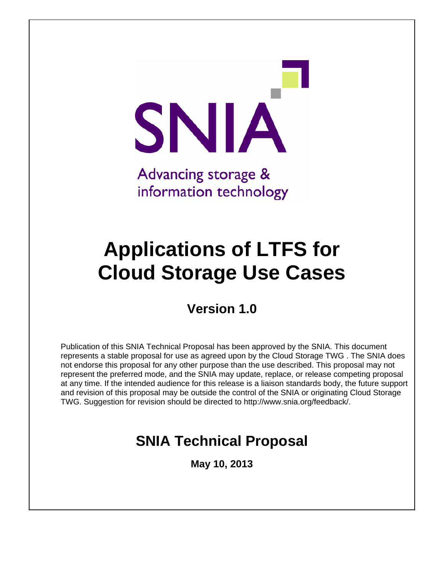

# **Applications of LTFS for Cloud Storage Use Cases**

# **Version 1.0**

Publication of this SNIA Technical Proposal has been approved by the SNIA. This document represents a stable proposal for use as agreed upon by the Cloud Storage TWG . The SNIA does not endorse this proposal for any other purpose than the use described. This proposal may not represent the preferred mode, and the SNIA may update, replace, or release competing proposal at any time. If the intended audience for this release is a liaison standards body, the future support and revision of this proposal may be outside the control of the SNIA or originating Cloud Storage TWG. Suggestion for revision should be directed to http://www.snia.org/feedback/.

# **SNIA Technical Proposal**

**May 10, 2013**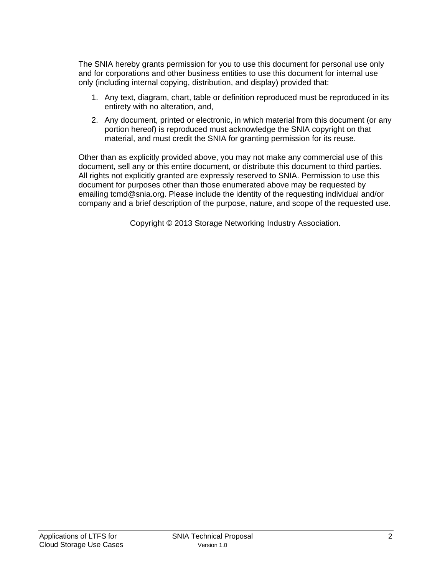The SNIA hereby grants permission for you to use this document for personal use only and for corporations and other business entities to use this document for internal use only (including internal copying, distribution, and display) provided that:

- 1. Any text, diagram, chart, table or definition reproduced must be reproduced in its entirety with no alteration, and,
- 2. Any document, printed or electronic, in which material from this document (or any portion hereof) is reproduced must acknowledge the SNIA copyright on that material, and must credit the SNIA for granting permission for its reuse.

Other than as explicitly provided above, you may not make any commercial use of this document, sell any or this entire document, or distribute this document to third parties. All rights not explicitly granted are expressly reserved to SNIA. Permission to use this document for purposes other than those enumerated above may be requested by emailing tcmd@snia.org. Please include the identity of the requesting individual and/or company and a brief description of the purpose, nature, and scope of the requested use.

Copyright © 2013 Storage Networking Industry Association.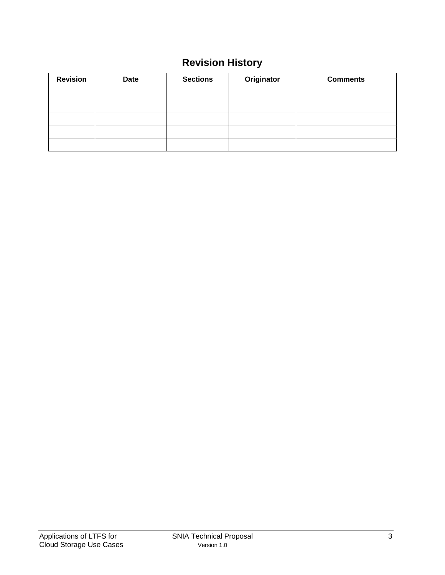# **Revision History**

| <b>Revision</b> | <b>Date</b> | <b>Sections</b> | Originator | <b>Comments</b> |
|-----------------|-------------|-----------------|------------|-----------------|
|                 |             |                 |            |                 |
|                 |             |                 |            |                 |
|                 |             |                 |            |                 |
|                 |             |                 |            |                 |
|                 |             |                 |            |                 |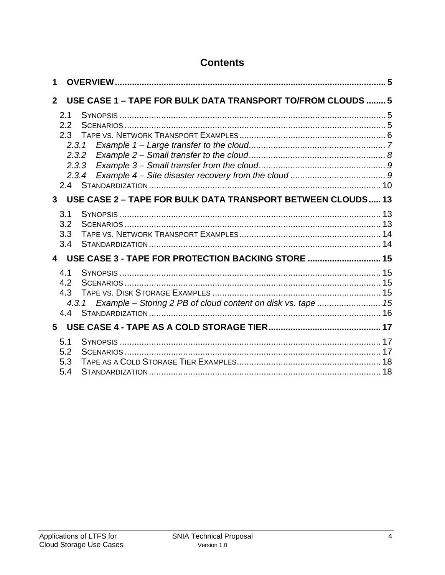| 1            |                                                                                |  |
|--------------|--------------------------------------------------------------------------------|--|
| $\mathbf{2}$ | USE CASE 1 - TAPE FOR BULK DATA TRANSPORT TO/FROM CLOUDS  5                    |  |
|              | 2.1<br>2.2<br>2.3<br>2.3.1<br>2.3.2<br>2.3.3<br>2.3.4                          |  |
| 3            | USE CASE 2 - TAPE FOR BULK DATA TRANSPORT BETWEEN CLOUDS 13                    |  |
|              | 3.1<br>3.2<br>3.3<br>3.4                                                       |  |
| 4            | USE CASE 3 - TAPE FOR PROTECTION BACKING STORE  15<br>4.1<br>4.2<br>4.3<br>4.4 |  |
| 5            |                                                                                |  |
|              | 5.1<br>5.2<br>5.3<br>5.4                                                       |  |

### **Contents**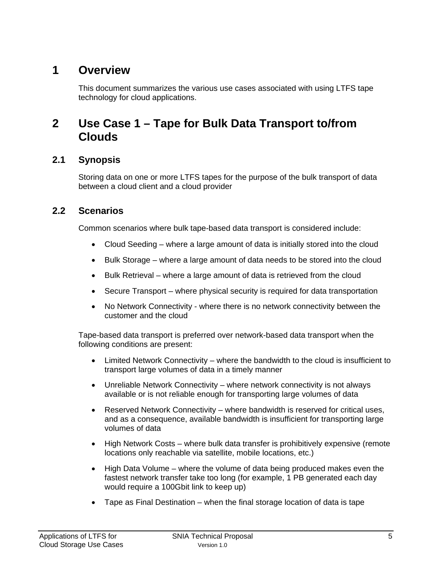# **1 Overview**

This document summarizes the various use cases associated with using LTFS tape technology for cloud applications.

## **2 Use Case 1 – Tape for Bulk Data Transport to/from Clouds**

#### **2.1 Synopsis**

Storing data on one or more LTFS tapes for the purpose of the bulk transport of data between a cloud client and a cloud provider

#### **2.2 Scenarios**

Common scenarios where bulk tape-based data transport is considered include:

- Cloud Seeding where a large amount of data is initially stored into the cloud
- Bulk Storage where a large amount of data needs to be stored into the cloud
- Bulk Retrieval where a large amount of data is retrieved from the cloud
- Secure Transport where physical security is required for data transportation
- No Network Connectivity where there is no network connectivity between the customer and the cloud

Tape-based data transport is preferred over network-based data transport when the following conditions are present:

- Limited Network Connectivity where the bandwidth to the cloud is insufficient to transport large volumes of data in a timely manner
- Unreliable Network Connectivity where network connectivity is not always available or is not reliable enough for transporting large volumes of data
- Reserved Network Connectivity where bandwidth is reserved for critical uses, and as a consequence, available bandwidth is insufficient for transporting large volumes of data
- High Network Costs where bulk data transfer is prohibitively expensive (remote locations only reachable via satellite, mobile locations, etc.)
- High Data Volume where the volume of data being produced makes even the fastest network transfer take too long (for example, 1 PB generated each day would require a 100Gbit link to keep up)
- Tape as Final Destination when the final storage location of data is tape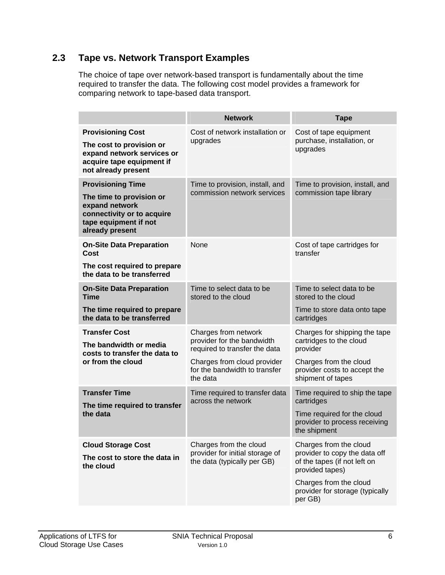#### **2.3 Tape vs. Network Transport Examples**

The choice of tape over network-based transport is fundamentally about the time required to transfer the data. The following cost model provides a framework for comparing network to tape-based data transport.

|                                                                                                                                                  | <b>Network</b>                                                                                                                                                  | <b>Tape</b>                                                                                                                                                                        |
|--------------------------------------------------------------------------------------------------------------------------------------------------|-----------------------------------------------------------------------------------------------------------------------------------------------------------------|------------------------------------------------------------------------------------------------------------------------------------------------------------------------------------|
| <b>Provisioning Cost</b><br>The cost to provision or<br>expand network services or<br>acquire tape equipment if<br>not already present           | Cost of network installation or<br>upgrades                                                                                                                     | Cost of tape equipment<br>purchase, installation, or<br>upgrades                                                                                                                   |
| <b>Provisioning Time</b><br>The time to provision or<br>expand network<br>connectivity or to acquire<br>tape equipment if not<br>already present | Time to provision, install, and<br>commission network services                                                                                                  | Time to provision, install, and<br>commission tape library                                                                                                                         |
| <b>On-Site Data Preparation</b><br>Cost<br>The cost required to prepare<br>the data to be transferred                                            | <b>None</b>                                                                                                                                                     | Cost of tape cartridges for<br>transfer                                                                                                                                            |
| <b>On-Site Data Preparation</b><br><b>Time</b><br>The time required to prepare<br>the data to be transferred                                     | Time to select data to be<br>stored to the cloud                                                                                                                | Time to select data to be<br>stored to the cloud<br>Time to store data onto tape<br>cartridges                                                                                     |
| <b>Transfer Cost</b><br>The bandwidth or media<br>costs to transfer the data to<br>or from the cloud                                             | Charges from network<br>provider for the bandwidth<br>required to transfer the data<br>Charges from cloud provider<br>for the bandwidth to transfer<br>the data | Charges for shipping the tape<br>cartridges to the cloud<br>provider<br>Charges from the cloud<br>provider costs to accept the<br>shipment of tapes                                |
| <b>Transfer Time</b><br>The time required to transfer<br>the data                                                                                | Time required to transfer data<br>across the network                                                                                                            | Time required to ship the tape<br>cartridges<br>Time required for the cloud<br>provider to process receiving<br>the shipment                                                       |
| <b>Cloud Storage Cost</b><br>The cost to store the data in<br>the cloud                                                                          | Charges from the cloud<br>provider for initial storage of<br>the data (typically per GB)                                                                        | Charges from the cloud<br>provider to copy the data off<br>of the tapes (if not left on<br>provided tapes)<br>Charges from the cloud<br>provider for storage (typically<br>per GB) |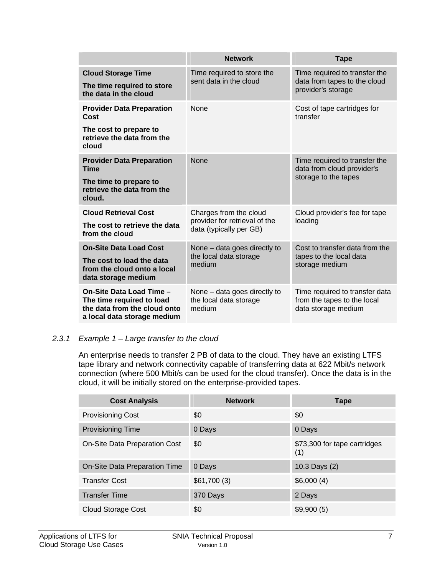|                                                                                                                      | <b>Network</b>                                                                     | <b>Tape</b>                                                                          |
|----------------------------------------------------------------------------------------------------------------------|------------------------------------------------------------------------------------|--------------------------------------------------------------------------------------|
| <b>Cloud Storage Time</b><br>The time required to store<br>the data in the cloud                                     | Time required to store the<br>sent data in the cloud                               | Time required to transfer the<br>data from tapes to the cloud<br>provider's storage  |
| <b>Provider Data Preparation</b><br>Cost<br>The cost to prepare to<br>retrieve the data from the<br>cloud            | None                                                                               | Cost of tape cartridges for<br>transfer                                              |
| <b>Provider Data Preparation</b><br><b>Time</b><br>The time to prepare to<br>retrieve the data from the<br>cloud.    | <b>None</b>                                                                        | Time required to transfer the<br>data from cloud provider's<br>storage to the tapes  |
| <b>Cloud Retrieval Cost</b><br>The cost to retrieve the data<br>from the cloud                                       | Charges from the cloud<br>provider for retrieval of the<br>data (typically per GB) | Cloud provider's fee for tape<br>loading                                             |
| <b>On-Site Data Load Cost</b><br>The cost to load the data<br>from the cloud onto a local<br>data storage medium     | None – data goes directly to<br>the local data storage<br>medium                   | Cost to transfer data from the<br>tapes to the local data<br>storage medium          |
| On-Site Data Load Time -<br>The time required to load<br>the data from the cloud onto<br>a local data storage medium | None - data goes directly to<br>the local data storage<br>medium                   | Time required to transfer data<br>from the tapes to the local<br>data storage medium |

#### *2.3.1 Example 1 – Large transfer to the cloud*

An enterprise needs to transfer 2 PB of data to the cloud. They have an existing LTFS tape library and network connectivity capable of transferring data at 622 Mbit/s network connection (where 500 Mbit/s can be used for the cloud transfer). Once the data is in the cloud, it will be initially stored on the enterprise-provided tapes.

| <b>Cost Analysis</b>          | <b>Network</b> | Tape                                |
|-------------------------------|----------------|-------------------------------------|
| <b>Provisioning Cost</b>      | \$0            | \$0                                 |
| <b>Provisioning Time</b>      | 0 Days         | 0 Days                              |
| On-Site Data Preparation Cost | \$0            | \$73,300 for tape cartridges<br>(1) |
| On-Site Data Preparation Time | 0 Days         | 10.3 Days (2)                       |
| <b>Transfer Cost</b>          | \$61,700(3)    | \$6,000(4)                          |
| <b>Transfer Time</b>          | 370 Days       | 2 Days                              |
| <b>Cloud Storage Cost</b>     | \$0            | \$9,900(5)                          |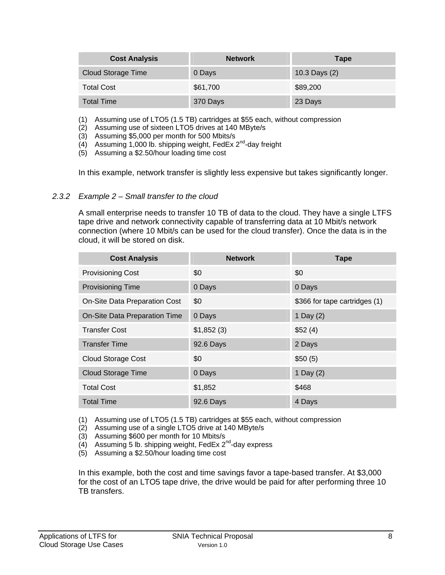| <b>Cost Analysis</b>      | <b>Network</b> | Tape          |
|---------------------------|----------------|---------------|
| <b>Cloud Storage Time</b> | 0 Days         | 10.3 Days (2) |
| <b>Total Cost</b>         | \$61,700       | \$89,200      |
| <b>Total Time</b>         | 370 Days       | 23 Days       |

(1) Assuming use of LTO5 (1.5 TB) cartridges at \$55 each, without compression

- (2) Assuming use of sixteen LTO5 drives at 140 MByte/s
- (3) Assuming \$5,000 per month for 500 Mbits/s
- $(4)$  Assuming 1,000 lb. shipping weight, FedEx 2<sup>nd</sup>-day freight
- (5) Assuming a \$2.50/hour loading time cost

In this example, network transfer is slightly less expensive but takes significantly longer.

#### *2.3.2 Example 2 – Small transfer to the cloud*

A small enterprise needs to transfer 10 TB of data to the cloud. They have a single LTFS tape drive and network connectivity capable of transferring data at 10 Mbit/s network connection (where 10 Mbit/s can be used for the cloud transfer). Once the data is in the cloud, it will be stored on disk.

| <b>Cost Analysis</b>          | <b>Network</b> | <b>Tape</b>                   |
|-------------------------------|----------------|-------------------------------|
| <b>Provisioning Cost</b>      | \$0            | \$0                           |
| <b>Provisioning Time</b>      | 0 Days         | 0 Days                        |
| On-Site Data Preparation Cost | \$0            | \$366 for tape cartridges (1) |
| On-Site Data Preparation Time | 0 Days         | 1 Day (2)                     |
| <b>Transfer Cost</b>          | \$1,852(3)     | \$52(4)                       |
| <b>Transfer Time</b>          | 92.6 Days      | 2 Days                        |
| <b>Cloud Storage Cost</b>     | \$0            | \$50(5)                       |
| <b>Cloud Storage Time</b>     | 0 Days         | 1 Day $(2)$                   |
| <b>Total Cost</b>             | \$1,852        | \$468                         |
| <b>Total Time</b>             | 92.6 Days      | 4 Days                        |

(1) Assuming use of LTO5 (1.5 TB) cartridges at \$55 each, without compression

- (2) Assuming use of a single LTO5 drive at 140 MByte/s
- (3) Assuming \$600 per month for 10 Mbits/s
- $(4)$  Assuming 5 lb. shipping weight, FedEx 2<sup>nd</sup>-day express
- (5) Assuming a \$2.50/hour loading time cost

In this example, both the cost and time savings favor a tape-based transfer. At \$3,000 for the cost of an LTO5 tape drive, the drive would be paid for after performing three 10 TB transfers.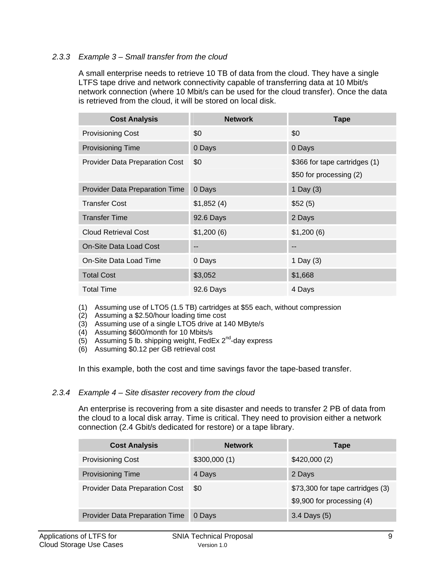#### *2.3.3 Example 3 – Small transfer from the cloud*

A small enterprise needs to retrieve 10 TB of data from the cloud. They have a single LTFS tape drive and network connectivity capable of transferring data at 10 Mbit/s network connection (where 10 Mbit/s can be used for the cloud transfer). Once the data is retrieved from the cloud, it will be stored on local disk.

| <b>Cost Analysis</b>                  | <b>Network</b> | <b>Tape</b>                                              |
|---------------------------------------|----------------|----------------------------------------------------------|
| <b>Provisioning Cost</b>              | \$0            | \$0                                                      |
| <b>Provisioning Time</b>              | 0 Days         | 0 Days                                                   |
| <b>Provider Data Preparation Cost</b> | \$0            | \$366 for tape cartridges (1)<br>\$50 for processing (2) |
| <b>Provider Data Preparation Time</b> | 0 Days         | 1 Day $(3)$                                              |
| <b>Transfer Cost</b>                  | \$1,852(4)     | \$52(5)                                                  |
| <b>Transfer Time</b>                  | 92.6 Days      | 2 Days                                                   |
| <b>Cloud Retrieval Cost</b>           | \$1,200(6)     | \$1,200(6)                                               |
| <b>On-Site Data Load Cost</b>         | --             | --                                                       |
| On-Site Data Load Time                | 0 Days         | 1 Day (3)                                                |
| <b>Total Cost</b>                     | \$3,052        | \$1,668                                                  |
| <b>Total Time</b>                     | 92.6 Days      | 4 Days                                                   |

- (1) Assuming use of LTO5 (1.5 TB) cartridges at \$55 each, without compression
- (2) Assuming a \$2.50/hour loading time cost
- (3) Assuming use of a single LTO5 drive at 140 MByte/s
- (4) Assuming \$600/month for 10 Mbits/s
- $(5)$  Assuming 5 lb. shipping weight, FedEx 2<sup>nd</sup>-day express
- (6) Assuming \$0.12 per GB retrieval cost

In this example, both the cost and time savings favor the tape-based transfer.

#### *2.3.4 Example 4 – Site disaster recovery from the cloud*

An enterprise is recovering from a site disaster and needs to transfer 2 PB of data from the cloud to a local disk array. Time is critical. They need to provision either a network connection (2.4 Gbit/s dedicated for restore) or a tape library.

| <b>Cost Analysis</b>                  | <b>Network</b> | Tape                                                           |
|---------------------------------------|----------------|----------------------------------------------------------------|
| <b>Provisioning Cost</b>              | \$300,000(1)   | \$420,000(2)                                                   |
| <b>Provisioning Time</b>              | 4 Days         | 2 Days                                                         |
| <b>Provider Data Preparation Cost</b> | \$0            | \$73,300 for tape cartridges (3)<br>\$9,900 for processing (4) |
| Provider Data Preparation Time        | 0 Days         | 3.4 Days (5)                                                   |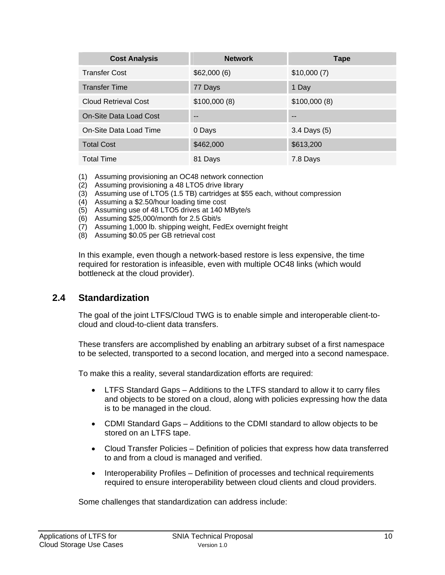| <b>Cost Analysis</b>   | <b>Network</b> | Tape         |
|------------------------|----------------|--------------|
| <b>Transfer Cost</b>   | \$62,000(6)    | \$10,000(7)  |
| <b>Transfer Time</b>   | 77 Days        | 1 Day        |
| Cloud Retrieval Cost   | \$100,000(8)   | \$100,000(8) |
| On-Site Data Load Cost | --             | --           |
| On-Site Data Load Time | 0 Days         | 3.4 Days (5) |
| <b>Total Cost</b>      | \$462,000      | \$613,200    |
| <b>Total Time</b>      | 81 Days        | 7.8 Days     |

(1) Assuming provisioning an OC48 network connection

- (2) Assuming provisioning a 48 LTO5 drive library
- (3) Assuming use of LTO5 (1.5 TB) cartridges at \$55 each, without compression
- (4) Assuming a \$2.50/hour loading time cost
- (5) Assuming use of 48 LTO5 drives at 140 MByte/s
- (6) Assuming \$25,000/month for 2.5 Gbit/s
- (7) Assuming 1,000 lb. shipping weight, FedEx overnight freight
- (8) Assuming \$0.05 per GB retrieval cost

In this example, even though a network-based restore is less expensive, the time required for restoration is infeasible, even with multiple OC48 links (which would bottleneck at the cloud provider).

#### **2.4 Standardization**

The goal of the joint LTFS/Cloud TWG is to enable simple and interoperable client-tocloud and cloud-to-client data transfers.

These transfers are accomplished by enabling an arbitrary subset of a first namespace to be selected, transported to a second location, and merged into a second namespace.

To make this a reality, several standardization efforts are required:

- LTFS Standard Gaps Additions to the LTFS standard to allow it to carry files and objects to be stored on a cloud, along with policies expressing how the data is to be managed in the cloud.
- CDMI Standard Gaps Additions to the CDMI standard to allow objects to be stored on an LTFS tape.
- Cloud Transfer Policies Definition of policies that express how data transferred to and from a cloud is managed and verified.
- Interoperability Profiles Definition of processes and technical requirements required to ensure interoperability between cloud clients and cloud providers.

Some challenges that standardization can address include: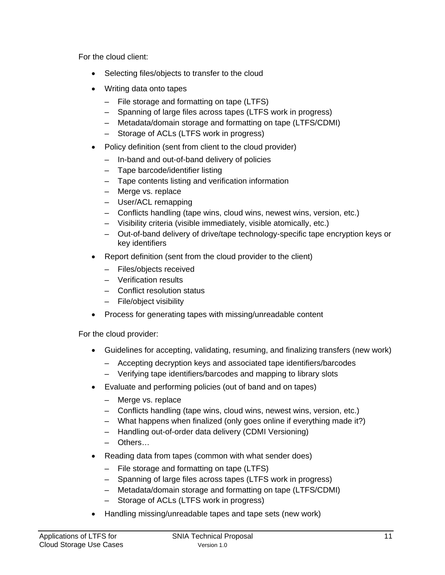For the cloud client:

- Selecting files/objects to transfer to the cloud
- Writing data onto tapes
	- File storage and formatting on tape (LTFS)
	- Spanning of large files across tapes (LTFS work in progress)
	- Metadata/domain storage and formatting on tape (LTFS/CDMI)
	- Storage of ACLs (LTFS work in progress)
- Policy definition (sent from client to the cloud provider)
	- In-band and out-of-band delivery of policies
	- Tape barcode/identifier listing
	- Tape contents listing and verification information
	- Merge vs. replace
	- User/ACL remapping
	- Conflicts handling (tape wins, cloud wins, newest wins, version, etc.)
	- Visibility criteria (visible immediately, visible atomically, etc.)
	- Out-of-band delivery of drive/tape technology-specific tape encryption keys or key identifiers
- Report definition (sent from the cloud provider to the client)
	- Files/objects received
	- Verification results
	- Conflict resolution status
	- File/object visibility
- Process for generating tapes with missing/unreadable content

For the cloud provider:

- Guidelines for accepting, validating, resuming, and finalizing transfers (new work)
	- Accepting decryption keys and associated tape identifiers/barcodes
	- Verifying tape identifiers/barcodes and mapping to library slots
- Evaluate and performing policies (out of band and on tapes)
	- Merge vs. replace
	- Conflicts handling (tape wins, cloud wins, newest wins, version, etc.)
	- What happens when finalized (only goes online if everything made it?)
	- Handling out-of-order data delivery (CDMI Versioning)
	- Others…
- Reading data from tapes (common with what sender does)
	- File storage and formatting on tape (LTFS)
	- Spanning of large files across tapes (LTFS work in progress)
	- Metadata/domain storage and formatting on tape (LTFS/CDMI)
	- Storage of ACLs (LTFS work in progress)
- Handling missing/unreadable tapes and tape sets (new work)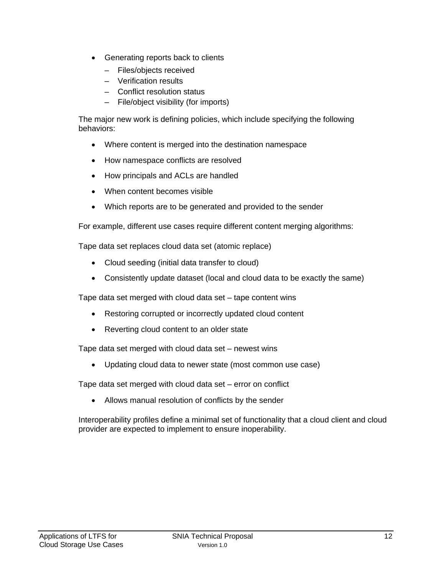- Generating reports back to clients
	- Files/objects received
	- Verification results
	- Conflict resolution status
	- File/object visibility (for imports)

The major new work is defining policies, which include specifying the following behaviors:

- Where content is merged into the destination namespace
- How namespace conflicts are resolved
- How principals and ACLs are handled
- When content becomes visible
- Which reports are to be generated and provided to the sender

For example, different use cases require different content merging algorithms:

Tape data set replaces cloud data set (atomic replace)

- Cloud seeding (initial data transfer to cloud)
- Consistently update dataset (local and cloud data to be exactly the same)

Tape data set merged with cloud data set – tape content wins

- Restoring corrupted or incorrectly updated cloud content
- Reverting cloud content to an older state

Tape data set merged with cloud data set – newest wins

Updating cloud data to newer state (most common use case)

Tape data set merged with cloud data set – error on conflict

Allows manual resolution of conflicts by the sender

Interoperability profiles define a minimal set of functionality that a cloud client and cloud provider are expected to implement to ensure inoperability.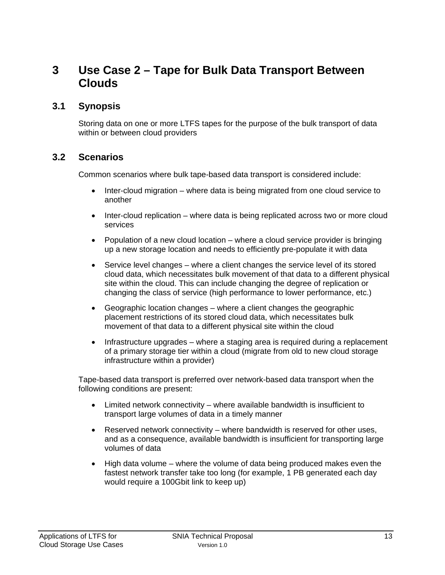### **3 Use Case 2 – Tape for Bulk Data Transport Between Clouds**

#### **3.1 Synopsis**

Storing data on one or more LTFS tapes for the purpose of the bulk transport of data within or between cloud providers

#### **3.2 Scenarios**

Common scenarios where bulk tape-based data transport is considered include:

- Inter-cloud migration where data is being migrated from one cloud service to another
- Inter-cloud replication where data is being replicated across two or more cloud services
- Population of a new cloud location where a cloud service provider is bringing up a new storage location and needs to efficiently pre-populate it with data
- Service level changes where a client changes the service level of its stored cloud data, which necessitates bulk movement of that data to a different physical site within the cloud. This can include changing the degree of replication or changing the class of service (high performance to lower performance, etc.)
- Geographic location changes where a client changes the geographic placement restrictions of its stored cloud data, which necessitates bulk movement of that data to a different physical site within the cloud
- Infrastructure upgrades where a staging area is required during a replacement of a primary storage tier within a cloud (migrate from old to new cloud storage infrastructure within a provider)

Tape-based data transport is preferred over network-based data transport when the following conditions are present:

- Limited network connectivity where available bandwidth is insufficient to transport large volumes of data in a timely manner
- Reserved network connectivity where bandwidth is reserved for other uses, and as a consequence, available bandwidth is insufficient for transporting large volumes of data
- High data volume where the volume of data being produced makes even the fastest network transfer take too long (for example, 1 PB generated each day would require a 100Gbit link to keep up)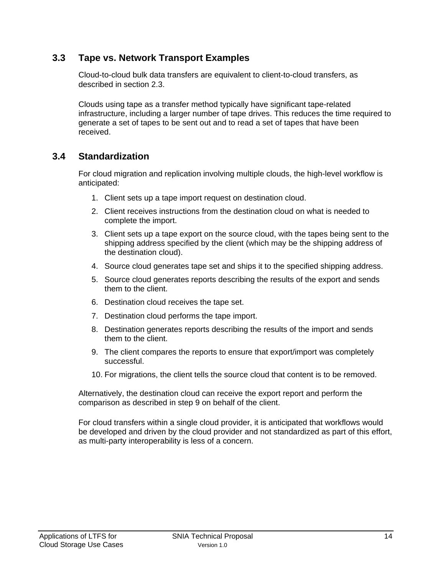#### **3.3 Tape vs. Network Transport Examples**

Cloud-to-cloud bulk data transfers are equivalent to client-to-cloud transfers, as described in section 2.3.

Clouds using tape as a transfer method typically have significant tape-related infrastructure, including a larger number of tape drives. This reduces the time required to generate a set of tapes to be sent out and to read a set of tapes that have been received.

#### **3.4 Standardization**

For cloud migration and replication involving multiple clouds, the high-level workflow is anticipated:

- 1. Client sets up a tape import request on destination cloud.
- 2. Client receives instructions from the destination cloud on what is needed to complete the import.
- 3. Client sets up a tape export on the source cloud, with the tapes being sent to the shipping address specified by the client (which may be the shipping address of the destination cloud).
- 4. Source cloud generates tape set and ships it to the specified shipping address.
- 5. Source cloud generates reports describing the results of the export and sends them to the client.
- 6. Destination cloud receives the tape set.
- 7. Destination cloud performs the tape import.
- 8. Destination generates reports describing the results of the import and sends them to the client.
- 9. The client compares the reports to ensure that export/import was completely successful.
- 10. For migrations, the client tells the source cloud that content is to be removed.

Alternatively, the destination cloud can receive the export report and perform the comparison as described in step 9 on behalf of the client.

For cloud transfers within a single cloud provider, it is anticipated that workflows would be developed and driven by the cloud provider and not standardized as part of this effort, as multi-party interoperability is less of a concern.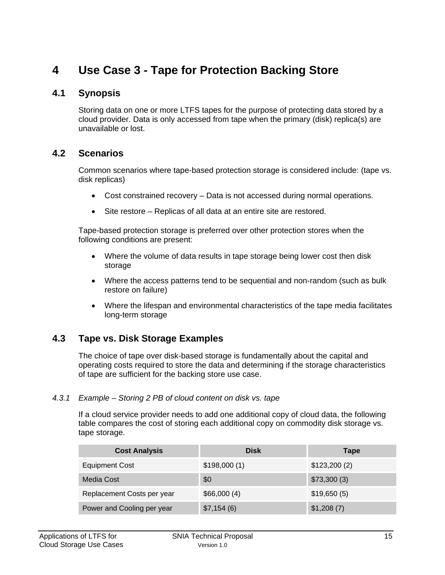# **4 Use Case 3 - Tape for Protection Backing Store**

#### **4.1 Synopsis**

Storing data on one or more LTFS tapes for the purpose of protecting data stored by a cloud provider. Data is only accessed from tape when the primary (disk) replica(s) are unavailable or lost.

#### **4.2 Scenarios**

Common scenarios where tape-based protection storage is considered include: (tape vs. disk replicas)

- Cost constrained recovery Data is not accessed during normal operations.
- Site restore Replicas of all data at an entire site are restored.

Tape-based protection storage is preferred over other protection stores when the following conditions are present:

- Where the volume of data results in tape storage being lower cost then disk storage
- Where the access patterns tend to be sequential and non-random (such as bulk restore on failure)
- Where the lifespan and environmental characteristics of the tape media facilitates long-term storage

#### **4.3 Tape vs. Disk Storage Examples**

The choice of tape over disk-based storage is fundamentally about the capital and operating costs required to store the data and determining if the storage characteristics of tape are sufficient for the backing store use case.

#### *4.3.1 Example – Storing 2 PB of cloud content on disk vs. tape*

If a cloud service provider needs to add one additional copy of cloud data, the following table compares the cost of storing each additional copy on commodity disk storage vs. tape storage.

| <b>Cost Analysis</b>       | <b>Disk</b>  | Tape         |
|----------------------------|--------------|--------------|
| <b>Equipment Cost</b>      | \$198,000(1) | \$123,200(2) |
| Media Cost                 | \$0          | \$73,300(3)  |
| Replacement Costs per year | \$66,000(4)  | \$19,650(5)  |
| Power and Cooling per year | \$7,154(6)   | \$1,208(7)   |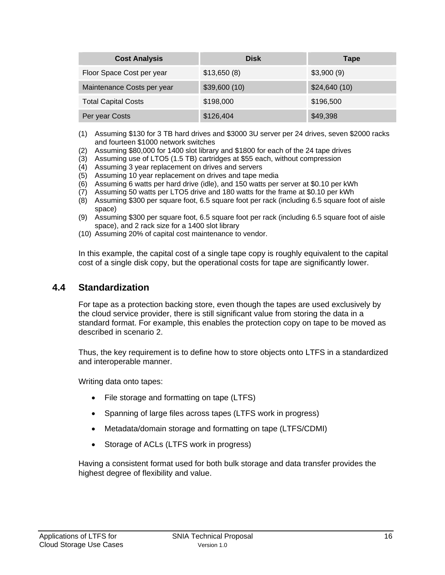| <b>Cost Analysis</b>       | <b>Disk</b>  | Tape         |
|----------------------------|--------------|--------------|
| Floor Space Cost per year  | \$13,650(8)  | \$3,900(9)   |
| Maintenance Costs per year | \$39,600(10) | \$24,640(10) |
| <b>Total Capital Costs</b> | \$198,000    | \$196,500    |
| Per year Costs             | \$126,404    | \$49,398     |

- (1) Assuming \$130 for 3 TB hard drives and \$3000 3U server per 24 drives, seven \$2000 racks and fourteen \$1000 network switches
- (2) Assuming \$80,000 for 1400 slot library and \$1800 for each of the 24 tape drives
- (3) Assuming use of LTO5 (1.5 TB) cartridges at \$55 each, without compression
- (4) Assuming 3 year replacement on drives and servers
- (5) Assuming 10 year replacement on drives and tape media
- (6) Assuming 6 watts per hard drive (idle), and 150 watts per server at \$0.10 per kWh
- (7) Assuming 50 watts per LTO5 drive and 180 watts for the frame at \$0.10 per kWh
- (8) Assuming \$300 per square foot, 6.5 square foot per rack (including 6.5 square foot of aisle space)
- (9) Assuming \$300 per square foot, 6.5 square foot per rack (including 6.5 square foot of aisle space), and 2 rack size for a 1400 slot library
- (10) Assuming 20% of capital cost maintenance to vendor.

In this example, the capital cost of a single tape copy is roughly equivalent to the capital cost of a single disk copy, but the operational costs for tape are significantly lower.

#### **4.4 Standardization**

For tape as a protection backing store, even though the tapes are used exclusively by the cloud service provider, there is still significant value from storing the data in a standard format. For example, this enables the protection copy on tape to be moved as described in scenario 2.

Thus, the key requirement is to define how to store objects onto LTFS in a standardized and interoperable manner.

Writing data onto tapes:

- File storage and formatting on tape (LTFS)
- Spanning of large files across tapes (LTFS work in progress)
- Metadata/domain storage and formatting on tape (LTFS/CDMI)
- Storage of ACLs (LTFS work in progress)

Having a consistent format used for both bulk storage and data transfer provides the highest degree of flexibility and value.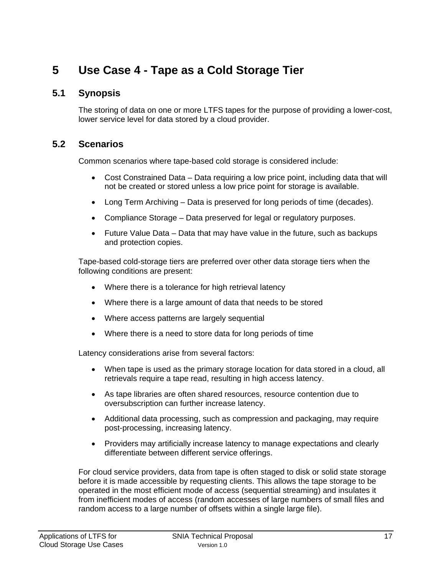# **5 Use Case 4 - Tape as a Cold Storage Tier**

#### **5.1 Synopsis**

The storing of data on one or more LTFS tapes for the purpose of providing a lower-cost, lower service level for data stored by a cloud provider.

#### **5.2 Scenarios**

Common scenarios where tape-based cold storage is considered include:

- Cost Constrained Data Data requiring a low price point, including data that will not be created or stored unless a low price point for storage is available.
- Long Term Archiving Data is preserved for long periods of time (decades).
- Compliance Storage Data preserved for legal or regulatory purposes.
- Future Value Data Data that may have value in the future, such as backups and protection copies.

Tape-based cold-storage tiers are preferred over other data storage tiers when the following conditions are present:

- Where there is a tolerance for high retrieval latency
- Where there is a large amount of data that needs to be stored
- Where access patterns are largely sequential
- Where there is a need to store data for long periods of time

Latency considerations arise from several factors:

- When tape is used as the primary storage location for data stored in a cloud, all retrievals require a tape read, resulting in high access latency.
- As tape libraries are often shared resources, resource contention due to oversubscription can further increase latency.
- Additional data processing, such as compression and packaging, may require post-processing, increasing latency.
- Providers may artificially increase latency to manage expectations and clearly differentiate between different service offerings.

For cloud service providers, data from tape is often staged to disk or solid state storage before it is made accessible by requesting clients. This allows the tape storage to be operated in the most efficient mode of access (sequential streaming) and insulates it from inefficient modes of access (random accesses of large numbers of small files and random access to a large number of offsets within a single large file).